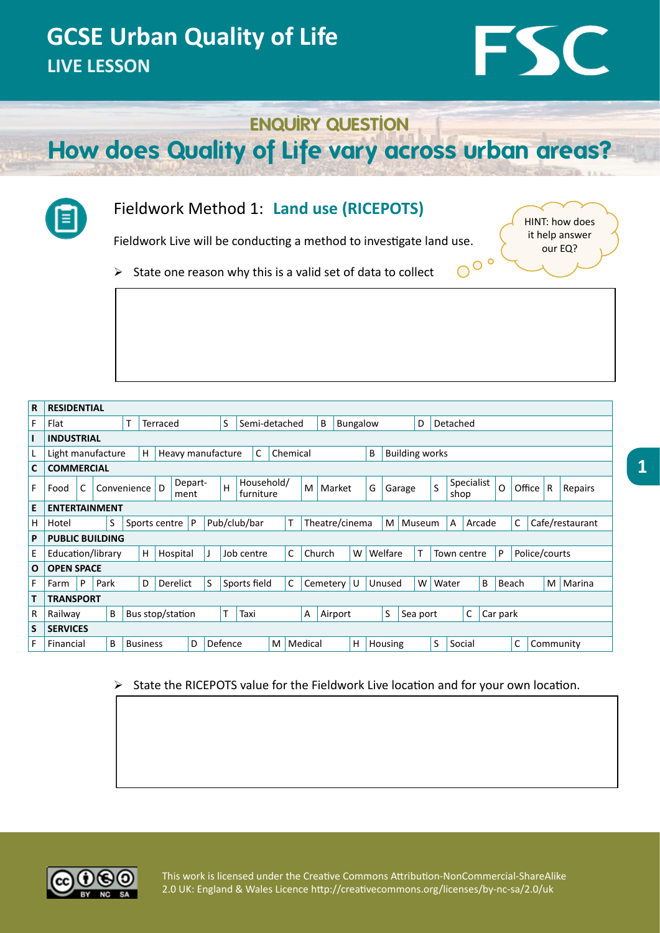# FSC

#### **ENQUIRY QUESTION**

**How does Quality of Life vary across urban areas?**



.

#### Fieldwork Method 1: **Land use (RICEPOTS)**

Fieldwork Live will be conducting a method to investigate land use.

HINT: how does it help answer our EQ?

 $O^{\circ}$ 

 $\triangleright$  State one reason why this is a valid set of data to collect

| $\mathbf R$  | <b>RESIDENTIAL</b>                                                                                                            |                                 |  |  |              |                         |                   |               |                        |                                |  |         |             |                        |               |   |                    |                         |          |            |        |              |        |         |  |  |  |  |  |
|--------------|-------------------------------------------------------------------------------------------------------------------------------|---------------------------------|--|--|--------------|-------------------------|-------------------|---------------|------------------------|--------------------------------|--|---------|-------------|------------------------|---------------|---|--------------------|-------------------------|----------|------------|--------|--------------|--------|---------|--|--|--|--|--|
| F            | т<br>Flat<br>Terraced                                                                                                         |                                 |  |  |              |                         | S                 | Semi-detached |                        | B<br>Bungalow<br>D<br>Detached |  |         |             |                        |               |   |                    |                         |          |            |        |              |        |         |  |  |  |  |  |
| ı            | <b>INDUSTRIAL</b>                                                                                                             |                                 |  |  |              |                         |                   |               |                        |                                |  |         |             |                        |               |   |                    |                         |          |            |        |              |        |         |  |  |  |  |  |
| L,           | B<br><b>Building works</b><br>C<br>Chemical<br>Light manufacture<br>H<br>Heavy manufacture                                    |                                 |  |  |              |                         |                   |               |                        |                                |  |         |             |                        |               |   |                    |                         |          |            |        |              |        |         |  |  |  |  |  |
| $\mathbf{C}$ | <b>COMMERCIAL</b>                                                                                                             |                                 |  |  |              |                         |                   |               |                        |                                |  |         |             |                        |               |   |                    |                         |          |            |        |              |        |         |  |  |  |  |  |
| F            | Depart-<br>C<br>D.<br>Convenience<br>Food<br>ment                                                                             |                                 |  |  | H            | Household/<br>furniture |                   |               | M                      | Market                         |  |         | G           | Garage                 |               | S |                    | Specialist<br>O<br>shop |          |            | Office | $\mathsf{R}$ |        | Repairs |  |  |  |  |  |
| E            | <b>ENTERTAINMENT</b>                                                                                                          |                                 |  |  |              |                         |                   |               |                        |                                |  |         |             |                        |               |   |                    |                         |          |            |        |              |        |         |  |  |  |  |  |
| H            | Pub/club/bar<br>S<br>т<br>Theatre/cinema<br>C<br>Cafe/restaurant<br>P<br>M<br>Museum<br>A<br>Sports centre<br>Arcade<br>Hotel |                                 |  |  |              |                         |                   |               |                        |                                |  |         |             |                        |               |   |                    |                         |          |            |        |              |        |         |  |  |  |  |  |
| P            | <b>PUBLIC BUILDING</b>                                                                                                        |                                 |  |  |              |                         |                   |               |                        |                                |  |         |             |                        |               |   |                    |                         |          |            |        |              |        |         |  |  |  |  |  |
| E            | Education/library<br>H<br>Hospital<br>Job centre                                                                              |                                 |  |  |              |                         |                   | C             | Church<br>W<br>Welfare |                                |  |         | Town centre |                        |               |   | Police/courts<br>P |                         |          |            |        |              |        |         |  |  |  |  |  |
| $\mathbf{o}$ | <b>OPEN SPACE</b>                                                                                                             |                                 |  |  |              |                         |                   |               |                        |                                |  |         |             |                        |               |   |                    |                         |          |            |        |              |        |         |  |  |  |  |  |
| F            | Farm                                                                                                                          | P<br>D<br>Derelict<br>S<br>Park |  |  |              |                         | C<br>Sports field |               |                        | ΙU<br>Cemetery                 |  |         |             | W<br>Unused            |               |   | B<br>Water         |                         |          | M<br>Beach |        |              | Marina |         |  |  |  |  |  |
|              | <b>TRANSPORT</b>                                                                                                              |                                 |  |  |              |                         |                   |               |                        |                                |  |         |             |                        |               |   |                    |                         |          |            |        |              |        |         |  |  |  |  |  |
| R            | Bus stop/station<br>В<br>Railway                                                                                              |                                 |  |  |              | T<br>Taxi               |                   |               |                        | Α                              |  | Airport |             |                        | S<br>Sea port |   | C                  |                         | Car park |            |        |              |        |         |  |  |  |  |  |
| S            | <b>SERVICES</b>                                                                                                               |                                 |  |  |              |                         |                   |               |                        |                                |  |         |             |                        |               |   |                    |                         |          |            |        |              |        |         |  |  |  |  |  |
| F            | B<br>D<br>Financial<br><b>Business</b>                                                                                        |                                 |  |  | Defence<br>M |                         |                   |               |                        | H<br>Medical                   |  |         |             | S<br>Housing<br>Social |               |   |                    | C<br>Community          |          |            |        |              |        |         |  |  |  |  |  |

#### ¾ State the RICEPOTS value for the Fieldwork Live location and for your own location.

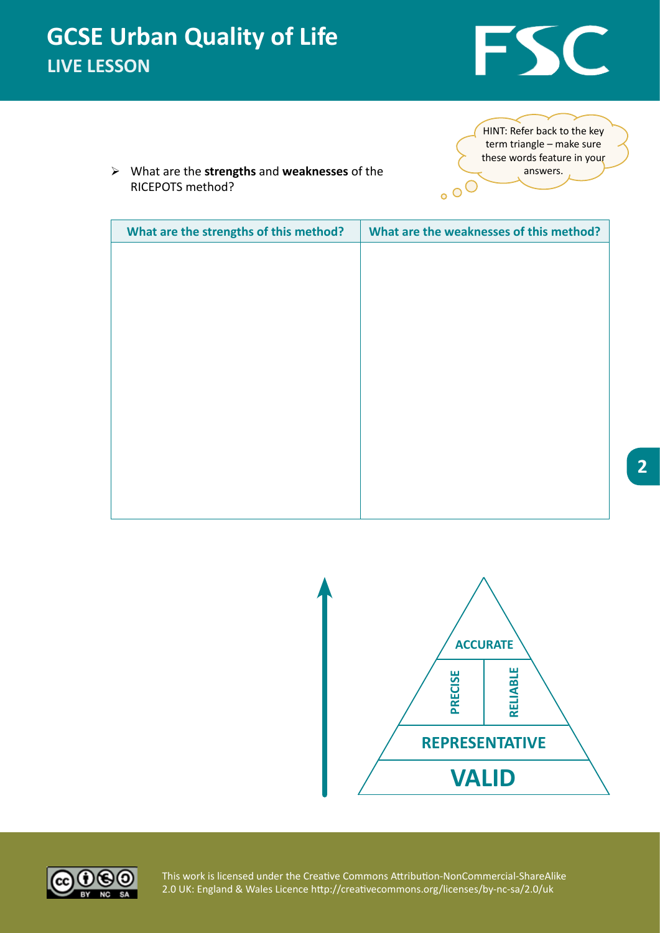

¾ What are the **strengths** and **weaknesses** of the RICEPOTS method?

HINT: Refer back to the key term triangle – make sure these words feature in your answers.  $\circ$  oO

| What are the strengths of this method? | What are the weaknesses of this method? |
|----------------------------------------|-----------------------------------------|
|                                        |                                         |
|                                        |                                         |
|                                        |                                         |
|                                        |                                         |
|                                        |                                         |
|                                        |                                         |
|                                        |                                         |
|                                        |                                         |
|                                        |                                         |
|                                        |                                         |
|                                        |                                         |
|                                        |                                         |
|                                        |                                         |



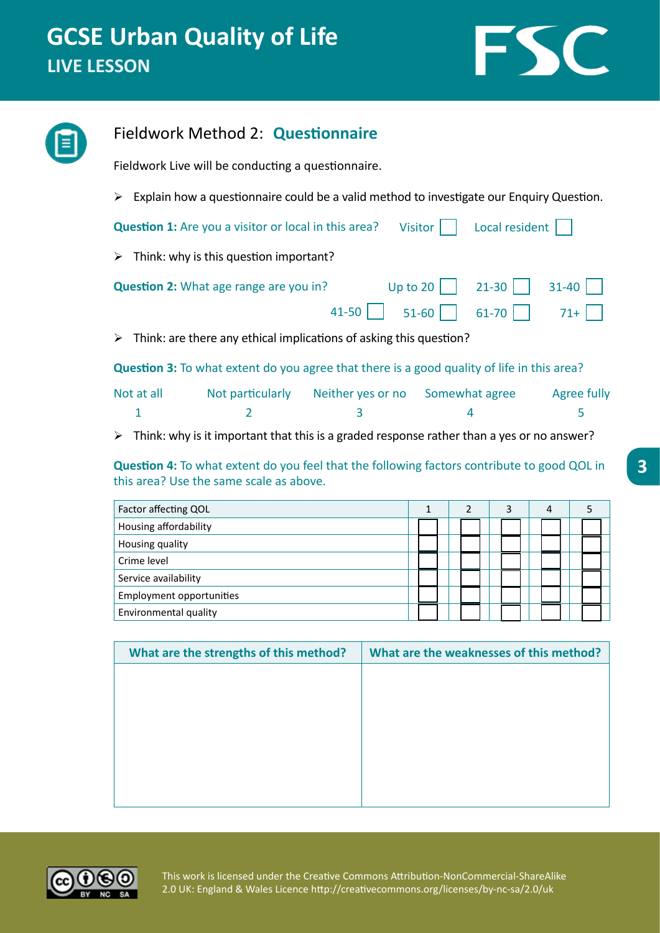

|                                                                        | Fieldwork Method 2: Questionnaire                                                                                                                                                             |                                                                                                                                                                                                                              |  |              |                |   |   |                |                                                   |  |  |  |  |  |  |
|------------------------------------------------------------------------|-----------------------------------------------------------------------------------------------------------------------------------------------------------------------------------------------|------------------------------------------------------------------------------------------------------------------------------------------------------------------------------------------------------------------------------|--|--------------|----------------|---|---|----------------|---------------------------------------------------|--|--|--|--|--|--|
|                                                                        |                                                                                                                                                                                               | Fieldwork Live will be conducting a questionnaire.                                                                                                                                                                           |  |              |                |   |   |                | 5<br>5<br>What are the weaknesses of this method? |  |  |  |  |  |  |
|                                                                        | $\triangleright$ Explain how a questionnaire could be a valid method to investigate our Enquiry Question.                                                                                     |                                                                                                                                                                                                                              |  |              |                |   |   |                |                                                   |  |  |  |  |  |  |
| Question 1: Are you a visitor or local in this area?<br><b>Visitor</b> |                                                                                                                                                                                               |                                                                                                                                                                                                                              |  |              |                |   |   | Local resident |                                                   |  |  |  |  |  |  |
|                                                                        | Think: why is this question important?<br>➤<br>$21 - 30$<br>Question 2: What age range are you in?<br>Up to 20<br>41-50<br>61-70<br>$51 - 60$                                                 |                                                                                                                                                                                                                              |  |              |                |   |   |                |                                                   |  |  |  |  |  |  |
|                                                                        | 31-40                                                                                                                                                                                         |                                                                                                                                                                                                                              |  |              |                |   |   |                |                                                   |  |  |  |  |  |  |
|                                                                        |                                                                                                                                                                                               |                                                                                                                                                                                                                              |  |              |                |   |   |                |                                                   |  |  |  |  |  |  |
|                                                                        | ➤                                                                                                                                                                                             | $71+$<br>Think: are there any ethical implications of asking this question?<br>Not particularly<br>Neither yes or no<br>Somewhat agree<br>Agree fully<br>$\overline{2}$<br>3<br>4<br>this area? Use the same scale as above. |  |              |                |   |   |                |                                                   |  |  |  |  |  |  |
|                                                                        | Question 3: To what extent do you agree that there is a good quality of life in this area?                                                                                                    |                                                                                                                                                                                                                              |  |              |                |   |   |                |                                                   |  |  |  |  |  |  |
|                                                                        | Not at all                                                                                                                                                                                    |                                                                                                                                                                                                                              |  |              |                |   |   |                |                                                   |  |  |  |  |  |  |
|                                                                        | 1                                                                                                                                                                                             |                                                                                                                                                                                                                              |  |              |                |   |   |                |                                                   |  |  |  |  |  |  |
|                                                                        | Think: why is it important that this is a graded response rather than a yes or no answer?<br>➤<br>Question 4: To what extent do you feel that the following factors contribute to good QOL in |                                                                                                                                                                                                                              |  |              |                |   |   |                |                                                   |  |  |  |  |  |  |
|                                                                        |                                                                                                                                                                                               |                                                                                                                                                                                                                              |  |              |                |   |   |                |                                                   |  |  |  |  |  |  |
|                                                                        | Factor affecting QOL                                                                                                                                                                          |                                                                                                                                                                                                                              |  | $\mathbf{1}$ | $\overline{2}$ | 3 | 4 |                |                                                   |  |  |  |  |  |  |
|                                                                        | Housing affordability                                                                                                                                                                         |                                                                                                                                                                                                                              |  |              |                |   |   |                |                                                   |  |  |  |  |  |  |
|                                                                        | Housing quality                                                                                                                                                                               |                                                                                                                                                                                                                              |  |              |                |   |   |                |                                                   |  |  |  |  |  |  |
|                                                                        | Crime level                                                                                                                                                                                   |                                                                                                                                                                                                                              |  |              |                |   |   |                |                                                   |  |  |  |  |  |  |
|                                                                        | Service availability                                                                                                                                                                          |                                                                                                                                                                                                                              |  |              |                |   |   |                |                                                   |  |  |  |  |  |  |
|                                                                        | <b>Employment opportunities</b>                                                                                                                                                               |                                                                                                                                                                                                                              |  |              |                |   |   |                |                                                   |  |  |  |  |  |  |
|                                                                        | Environmental quality                                                                                                                                                                         |                                                                                                                                                                                                                              |  |              |                |   |   |                |                                                   |  |  |  |  |  |  |
|                                                                        |                                                                                                                                                                                               | What are the strengths of this method?                                                                                                                                                                                       |  |              |                |   |   |                |                                                   |  |  |  |  |  |  |
|                                                                        |                                                                                                                                                                                               |                                                                                                                                                                                                                              |  |              |                |   |   |                |                                                   |  |  |  |  |  |  |

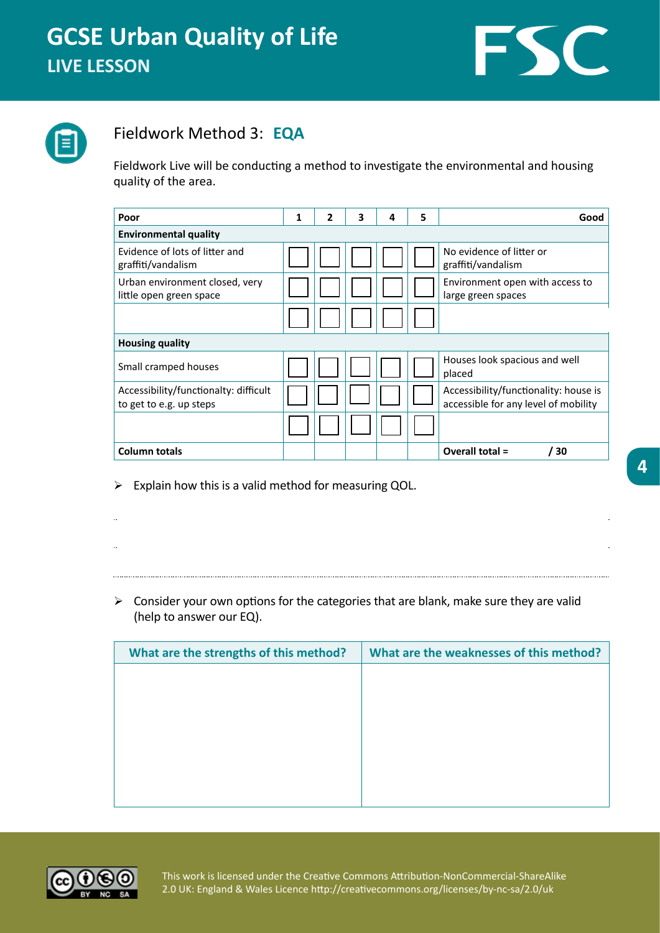



#### Fieldwork Method 3: **EQA**

Fieldwork Live will be conducting a method to investigate the environmental and housing quality of the area.

| Poor                                                             | 1 | 2 | 3 | 4 | 5 | Good                                                                          |  |  |  |
|------------------------------------------------------------------|---|---|---|---|---|-------------------------------------------------------------------------------|--|--|--|
| <b>Environmental quality</b>                                     |   |   |   |   |   |                                                                               |  |  |  |
| Evidence of lots of litter and<br>graffiti/vandalism             |   |   |   |   |   | No evidence of litter or<br>graffiti/vandalism                                |  |  |  |
| Urban environment closed, very<br>little open green space        |   |   |   |   |   | Environment open with access to<br>large green spaces                         |  |  |  |
|                                                                  |   |   |   |   |   |                                                                               |  |  |  |
| <b>Housing quality</b>                                           |   |   |   |   |   |                                                                               |  |  |  |
| Small cramped houses                                             |   |   |   |   |   | Houses look spacious and well<br>placed                                       |  |  |  |
| Accessibility/functionalty: difficult<br>to get to e.g. up steps |   |   |   |   |   | Accessibility/functionality: house is<br>accessible for any level of mobility |  |  |  |
|                                                                  |   |   |   |   |   |                                                                               |  |  |  |
| <b>Column totals</b>                                             |   |   |   |   |   | Overall total =<br>30                                                         |  |  |  |

 $\triangleright$  Explain how this is a valid method for measuring QOL.

 $\triangleright$  Consider your own options for the categories that are blank, make sure they are valid (help to answer our EQ).

| What are the strengths of this method? | What are the weaknesses of this method? |
|----------------------------------------|-----------------------------------------|
|                                        |                                         |
|                                        |                                         |
|                                        |                                         |
|                                        |                                         |
|                                        |                                         |
|                                        |                                         |

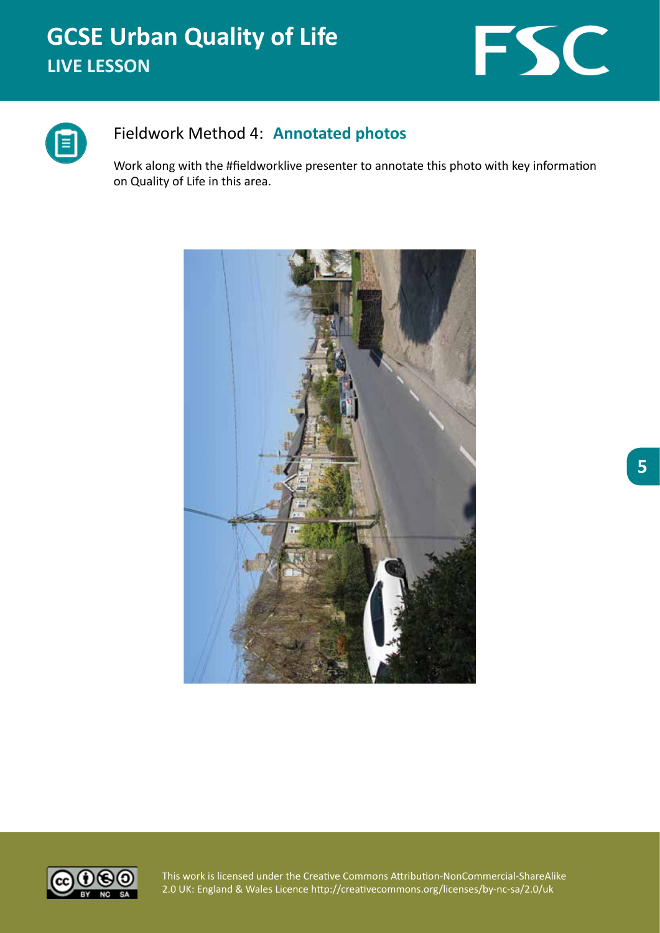



#### Fieldwork Method 4: **Annotated photos**

Work along with the #fieldworklive presenter to annotate this photo with key information on Quality of Life in this area.